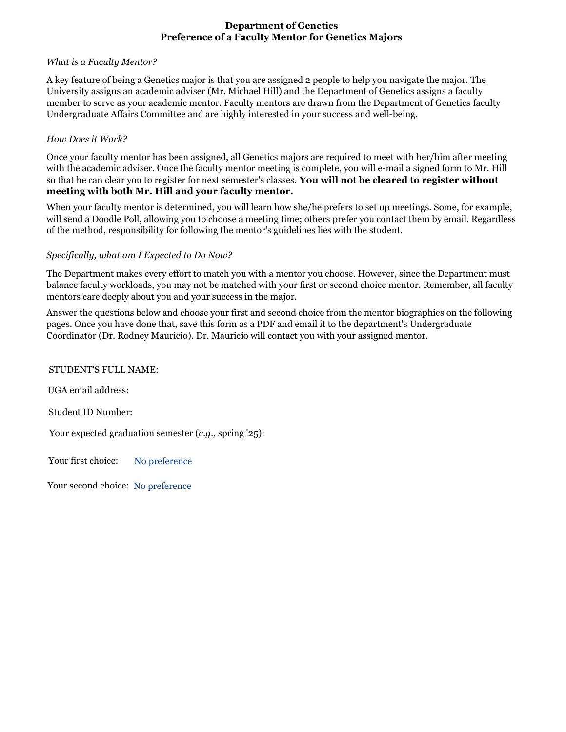# **Department of Genetics Preference of a Faculty Mentor for Genetics Majors**

# *What is a Faculty Mentor?*

A key feature of being a Genetics major is that you are assigned 2 people to help you navigate the major. The University assigns an academic adviser (Mr. Michael Hill) and the Department of Genetics assigns a faculty member to serve as your academic mentor. Faculty mentors are drawn from the Department of Genetics faculty Undergraduate Affairs Committee and are highly interested in your success and well-being.

# *How Does it Work?*

Once your faculty mentor has been assigned, all Genetics majors are required to meet with her/him after meeting with the academic adviser. Once the faculty mentor meeting is complete, you will e-mail a signed form to Mr. Hill so that he can clear you to register for next semester's classes. **You will not be cleared to register without meeting with both Mr. Hill and your faculty mentor.**

When your faculty mentor is determined, you will learn how she/he prefers to set up meetings. Some, for example, will send a Doodle Poll, allowing you to choose a meeting time; others prefer you contact them by email. Regardless of the method, responsibility for following the mentor's guidelines lies with the student.

# *Specifically, what am I Expected to Do Now?*

The Department makes every effort to match you with a mentor you choose. However, since the Department must balance faculty workloads, you may not be matched with your first or second choice mentor. Remember, all faculty mentors care deeply about you and your success in the major.

Answer the questions below and choose your first and second choice from the mentor biographies on the following pages. Once you have done that, save this form as a PDF and email it to the department's Undergraduate Coordinator (Dr. Rodney Mauricio). Dr. Mauricio will contact you with your assigned mentor.

## STUDENT'S FULL NAME:

UGA email address:

Student ID Number:

Your expected graduation semester (*e.g.,* spring '25):

Your first choice: No preference

Your second choice: No preference